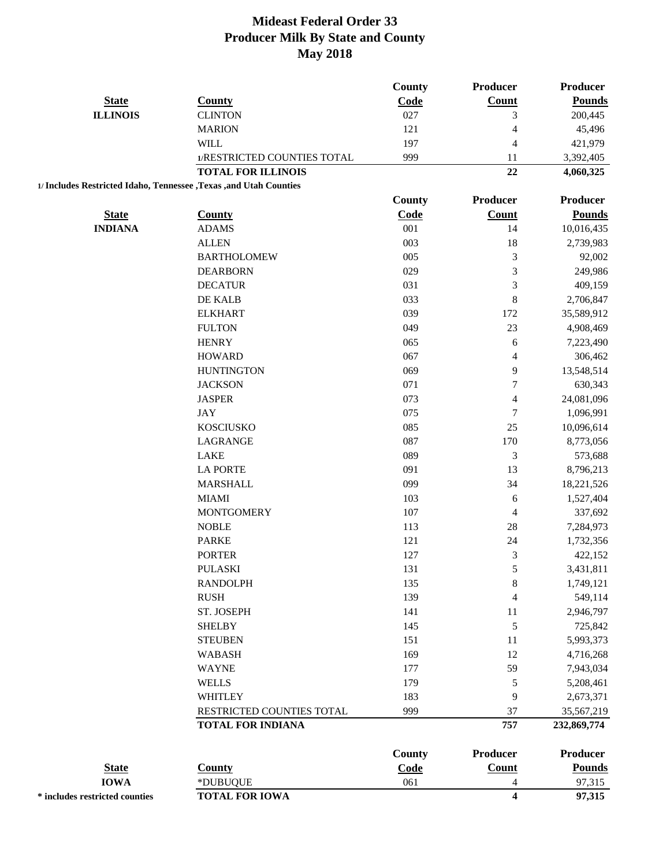|                                                                     |                             | <b>County</b> | Producer                 | Producer      |
|---------------------------------------------------------------------|-----------------------------|---------------|--------------------------|---------------|
| <b>State</b>                                                        | <b>County</b>               | Code          | Count                    | <b>Pounds</b> |
| <b>ILLINOIS</b>                                                     | <b>CLINTON</b>              | 027           | 3                        | 200,445       |
|                                                                     | <b>MARION</b>               | 121           | $\overline{4}$           | 45,496        |
|                                                                     | <b>WILL</b>                 | 197           | $\overline{4}$           | 421,979       |
|                                                                     | 1/RESTRICTED COUNTIES TOTAL | 999           | 11                       | 3,392,405     |
|                                                                     | <b>TOTAL FOR ILLINOIS</b>   |               | 22                       | 4,060,325     |
| 1/ Includes Restricted Idaho, Tennessee , Texas , and Utah Counties |                             |               |                          |               |
|                                                                     |                             | <b>County</b> | Producer                 | Producer      |
| <b>State</b>                                                        | <b>County</b>               | Code          | Count                    | <b>Pounds</b> |
| <b>INDIANA</b>                                                      | <b>ADAMS</b>                | 001           | 14                       | 10,016,435    |
|                                                                     | <b>ALLEN</b>                | 003           | 18                       | 2,739,983     |
|                                                                     | <b>BARTHOLOMEW</b>          | 005           | $\mathfrak{Z}$           | 92,002        |
|                                                                     | <b>DEARBORN</b>             | 029           | $\mathfrak{Z}$           | 249,986       |
|                                                                     | <b>DECATUR</b>              | 031           | 3                        | 409,159       |
|                                                                     | DE KALB                     | 033           | 8                        | 2,706,847     |
|                                                                     | <b>ELKHART</b>              | 039           | 172                      | 35,589,912    |
|                                                                     | <b>FULTON</b>               | 049           | 23                       | 4,908,469     |
|                                                                     | <b>HENRY</b>                | 065           | 6                        | 7,223,490     |
|                                                                     | <b>HOWARD</b>               | 067           | $\overline{\mathcal{A}}$ | 306,462       |
|                                                                     | <b>HUNTINGTON</b>           | 069           | 9                        | 13,548,514    |
|                                                                     | <b>JACKSON</b>              | 071           | $\boldsymbol{7}$         | 630,343       |
|                                                                     | <b>JASPER</b>               | 073           | $\overline{4}$           | 24,081,096    |
|                                                                     | JAY                         | 075           | $\sqrt{ }$               | 1,096,991     |
|                                                                     | <b>KOSCIUSKO</b>            | 085           | 25                       | 10,096,614    |
|                                                                     | LAGRANGE                    | 087           | 170                      | 8,773,056     |
|                                                                     | LAKE                        | 089           | $\mathfrak{Z}$           | 573,688       |
|                                                                     | <b>LA PORTE</b>             | 091           | 13                       | 8,796,213     |
|                                                                     | <b>MARSHALL</b>             | 099           | 34                       | 18,221,526    |
|                                                                     | <b>MIAMI</b>                | 103           | 6                        | 1,527,404     |
|                                                                     | <b>MONTGOMERY</b>           | 107           | $\overline{4}$           | 337,692       |
|                                                                     | <b>NOBLE</b>                | 113           | 28                       | 7,284,973     |
|                                                                     | <b>PARKE</b>                | 121           | 24                       | 1,732,356     |
|                                                                     | <b>PORTER</b>               | 127           | 3                        | 422,152       |
|                                                                     | <b>PULASKI</b>              | 131           | $\mathfrak s$            | 3,431,811     |
|                                                                     | <b>RANDOLPH</b>             | 135           | $\,$ 8 $\,$              | 1,749,121     |
|                                                                     | <b>RUSH</b>                 | 139           | $\overline{4}$           | 549,114       |
|                                                                     | ST. JOSEPH                  | 141           | 11                       | 2,946,797     |
|                                                                     | <b>SHELBY</b>               | 145           | $\mathfrak s$            | 725,842       |
|                                                                     | <b>STEUBEN</b>              | 151           | 11                       | 5,993,373     |
|                                                                     | <b>WABASH</b>               | 169           | 12                       | 4,716,268     |
|                                                                     | <b>WAYNE</b>                | 177           | 59                       | 7,943,034     |
|                                                                     | <b>WELLS</b>                | 179           | 5                        | 5,208,461     |
|                                                                     | WHITLEY                     | 183           | 9                        | 2,673,371     |
|                                                                     | RESTRICTED COUNTIES TOTAL   | 999           | 37                       | 35,567,219    |
|                                                                     | <b>TOTAL FOR INDIANA</b>    |               | 757                      | 232,869,774   |
|                                                                     |                             | <b>County</b> | Producer                 | Producer      |
| <b>State</b>                                                        | <b>County</b>               | Code          | Count                    | <b>Pounds</b> |
| <b>IOWA</b>                                                         | *DUBUQUE                    | 061           | 4                        | 97,315        |
| * includes restricted counties                                      | <b>TOTAL FOR IOWA</b>       |               | $\overline{\mathbf{4}}$  | 97,315        |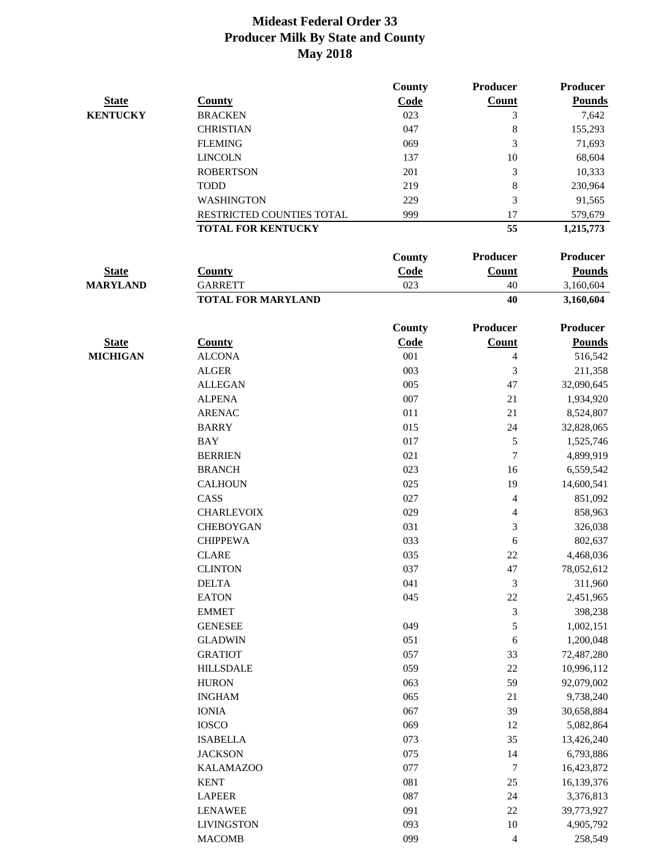|                 |                           | <b>County</b> | <b>Producer</b>  | <b>Producer</b> |
|-----------------|---------------------------|---------------|------------------|-----------------|
| <b>State</b>    | <b>County</b>             | Code          | Count            | <b>Pounds</b>   |
| <b>KENTUCKY</b> | <b>BRACKEN</b>            | 023           | 3                | 7,642           |
|                 | <b>CHRISTIAN</b>          | 047           | 8                | 155,293         |
|                 | <b>FLEMING</b>            | 069           | 3                | 71,693          |
|                 | <b>LINCOLN</b>            | 137           | 10               | 68,604          |
|                 | <b>ROBERTSON</b>          | 201           | $\mathfrak{Z}$   | 10,333          |
|                 | <b>TODD</b>               | 219           | $\,8\,$          | 230,964         |
|                 | <b>WASHINGTON</b>         | 229           | 3                | 91,565          |
|                 | RESTRICTED COUNTIES TOTAL | 999           | 17               | 579,679         |
|                 | <b>TOTAL FOR KENTUCKY</b> |               | 55               | 1,215,773       |
|                 |                           | County        | Producer         | <b>Producer</b> |
| <b>State</b>    | <b>County</b>             | Code          | Count            | <b>Pounds</b>   |
| <b>MARYLAND</b> | <b>GARRETT</b>            | 023           | 40               | 3,160,604       |
|                 | <b>TOTAL FOR MARYLAND</b> |               | 40               | 3,160,604       |
|                 |                           | <b>County</b> | <b>Producer</b>  | <b>Producer</b> |
| <b>State</b>    | <b>County</b>             | Code          | Count            | <b>Pounds</b>   |
| <b>MICHIGAN</b> | <b>ALCONA</b>             | 001           | 4                | 516,542         |
|                 | <b>ALGER</b>              | 003           | 3                | 211,358         |
|                 | <b>ALLEGAN</b>            | 005           | 47               | 32,090,645      |
|                 | <b>ALPENA</b>             | 007           | 21               | 1,934,920       |
|                 | <b>ARENAC</b>             | 011           | 21               | 8,524,807       |
|                 | <b>BARRY</b>              | 015           | 24               | 32,828,065      |
|                 | <b>BAY</b>                | 017           | $\sqrt{5}$       | 1,525,746       |
|                 | <b>BERRIEN</b>            | 021           | $\overline{7}$   | 4,899,919       |
|                 | <b>BRANCH</b>             | 023           | 16               | 6,559,542       |
|                 | <b>CALHOUN</b>            | 025           | 19               | 14,600,541      |
|                 | CASS                      | 027           | 4                | 851,092         |
|                 | <b>CHARLEVOIX</b>         | 029           | $\overline{4}$   | 858,963         |
|                 | <b>CHEBOYGAN</b>          | 031           | 3                | 326,038         |
|                 | <b>CHIPPEWA</b>           | 033           | 6                | 802,637         |
|                 | <b>CLARE</b>              | 035           | 22               | 4,468,036       |
|                 | <b>CLINTON</b>            | 037           | 47               | 78,052,612      |
|                 | <b>DELTA</b>              | 041           | 3                | 311,960         |
|                 | <b>EATON</b>              | 045           | $22\,$           | 2,451,965       |
|                 | <b>EMMET</b>              |               | $\mathfrak{Z}$   | 398,238         |
|                 | <b>GENESEE</b>            | 049           | $\sqrt{5}$       | 1,002,151       |
|                 | <b>GLADWIN</b>            | 051           | 6                | 1,200,048       |
|                 | <b>GRATIOT</b>            | 057           | 33               | 72,487,280      |
|                 | <b>HILLSDALE</b>          | 059           | $22\,$           | 10,996,112      |
|                 | <b>HURON</b>              | 063           | 59               | 92,079,002      |
|                 | <b>INGHAM</b>             | 065           | 21               | 9,738,240       |
|                 | <b>IONIA</b>              | 067           | 39               | 30,658,884      |
|                 | <b>IOSCO</b>              | 069           | 12               | 5,082,864       |
|                 | <b>ISABELLA</b>           | 073           | 35               | 13,426,240      |
|                 | <b>JACKSON</b>            | 075           | 14               | 6,793,886       |
|                 | <b>KALAMAZOO</b>          | 077           | $\boldsymbol{7}$ | 16,423,872      |
|                 | <b>KENT</b>               | 081           | 25               | 16,139,376      |
|                 | <b>LAPEER</b>             | 087           | 24               | 3,376,813       |
|                 | <b>LENAWEE</b>            | 091           | 22               | 39,773,927      |
|                 | <b>LIVINGSTON</b>         | 093           | 10               | 4,905,792       |
|                 | <b>MACOMB</b>             | 099           | $\overline{4}$   | 258,549         |
|                 |                           |               |                  |                 |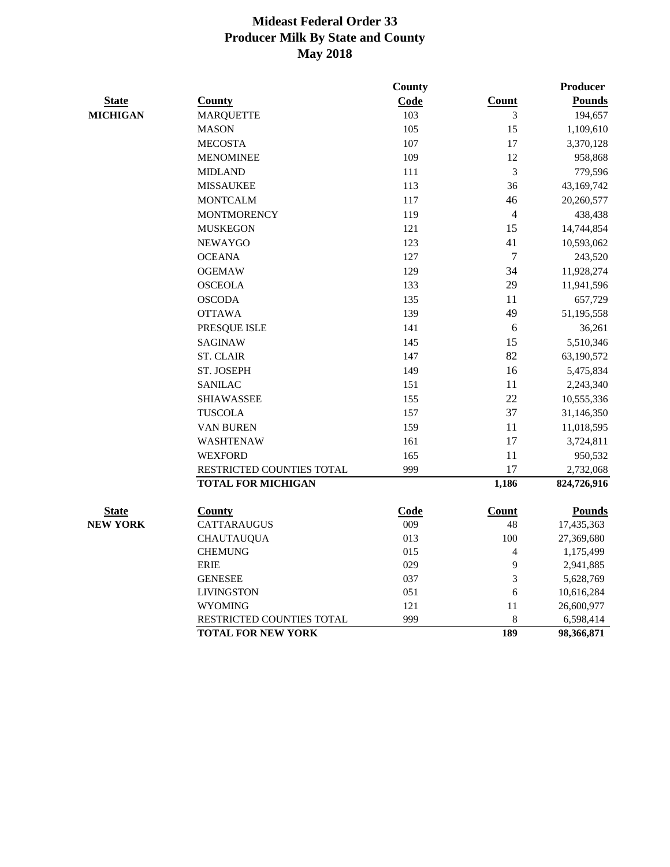|                 |                           | <b>County</b> |                | <b>Producer</b> |
|-----------------|---------------------------|---------------|----------------|-----------------|
| <b>State</b>    | County                    | Code          | Count          | <b>Pounds</b>   |
| <b>MICHIGAN</b> | <b>MARQUETTE</b>          | 103           | 3              | 194,657         |
|                 | <b>MASON</b>              | 105           | 15             | 1,109,610       |
|                 | <b>MECOSTA</b>            | 107           | 17             | 3,370,128       |
|                 | <b>MENOMINEE</b>          | 109           | 12             | 958,868         |
|                 | <b>MIDLAND</b>            | 111           | 3              | 779,596         |
|                 | <b>MISSAUKEE</b>          | 113           | 36             | 43,169,742      |
|                 | <b>MONTCALM</b>           | 117           | 46             | 20,260,577      |
|                 | <b>MONTMORENCY</b>        | 119           | $\overline{4}$ | 438,438         |
|                 | <b>MUSKEGON</b>           | 121           | 15             | 14,744,854      |
|                 | <b>NEWAYGO</b>            | 123           | 41             | 10,593,062      |
|                 | <b>OCEANA</b>             | 127           | $\tau$         | 243,520         |
|                 | <b>OGEMAW</b>             | 129           | 34             | 11,928,274      |
|                 | <b>OSCEOLA</b>            | 133           | 29             | 11,941,596      |
|                 | <b>OSCODA</b>             | 135           | 11             | 657,729         |
|                 | <b>OTTAWA</b>             | 139           | 49             | 51,195,558      |
|                 | PRESQUE ISLE              | 141           | 6              | 36,261          |
|                 | <b>SAGINAW</b>            | 145           | 15             | 5,510,346       |
|                 | <b>ST. CLAIR</b>          | 147           | 82             | 63,190,572      |
|                 | ST. JOSEPH                | 149           | 16             | 5,475,834       |
|                 | <b>SANILAC</b>            | 151           | 11             | 2,243,340       |
|                 | <b>SHIAWASSEE</b>         | 155           | 22             | 10,555,336      |
|                 | <b>TUSCOLA</b>            | 157           | 37             | 31,146,350      |
|                 | VAN BUREN                 | 159           | 11             | 11,018,595      |
|                 | <b>WASHTENAW</b>          | 161           | 17             | 3,724,811       |
|                 | <b>WEXFORD</b>            | 165           | 11             | 950,532         |
|                 | RESTRICTED COUNTIES TOTAL | 999           | 17             | 2,732,068       |
|                 | <b>TOTAL FOR MICHIGAN</b> |               | 1,186          | 824,726,916     |
| <b>State</b>    | County                    | Code          | <b>Count</b>   | <b>Pounds</b>   |
| <b>NEW YORK</b> | <b>CATTARAUGUS</b>        | 009           | 48             | 17,435,363      |
|                 | <b>CHAUTAUQUA</b>         | 013           | 100            | 27,369,680      |
|                 | <b>CHEMUNG</b>            | 015           | 4              | 1,175,499       |
|                 | <b>ERIE</b>               | 029           | 9              | 2,941,885       |
|                 | <b>GENESEE</b>            | 037           | 3              | 5,628,769       |
|                 | <b>LIVINGSTON</b>         | 051           | 6              | 10,616,284      |
|                 | <b>WYOMING</b>            | 121           | 11             | 26,600,977      |
|                 | RESTRICTED COUNTIES TOTAL | 999           | 8              | 6,598,414       |
|                 | <b>TOTAL FOR NEW YORK</b> |               | 189            | 98,366,871      |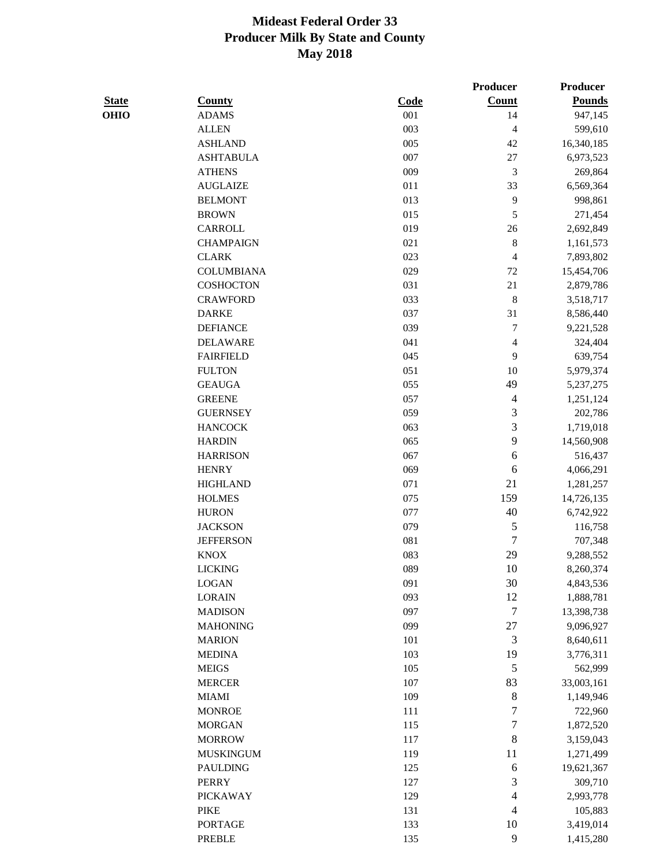|              |                   |             | <b>Producer</b>             | Producer      |
|--------------|-------------------|-------------|-----------------------------|---------------|
| <b>State</b> | <b>County</b>     | <b>Code</b> | Count                       | <b>Pounds</b> |
| <b>OHIO</b>  | <b>ADAMS</b>      | 001         | 14                          | 947,145       |
|              | <b>ALLEN</b>      | 003         | $\overline{4}$              | 599,610       |
|              | <b>ASHLAND</b>    | 005         | 42                          | 16,340,185    |
|              | <b>ASHTABULA</b>  | 007         | $27\,$                      | 6,973,523     |
|              | <b>ATHENS</b>     | 009         | $\mathfrak{Z}$              | 269,864       |
|              | <b>AUGLAIZE</b>   | 011         | 33                          | 6,569,364     |
|              | <b>BELMONT</b>    | 013         | $\overline{9}$              | 998,861       |
|              | <b>BROWN</b>      | 015         | 5                           | 271,454       |
|              | CARROLL           | 019         | 26                          | 2,692,849     |
|              | <b>CHAMPAIGN</b>  | 021         | $\,8\,$                     | 1,161,573     |
|              | <b>CLARK</b>      | 023         | $\overline{4}$              | 7,893,802     |
|              | <b>COLUMBIANA</b> | 029         | $72\,$                      | 15,454,706    |
|              | <b>COSHOCTON</b>  | 031         | 21                          | 2,879,786     |
|              | <b>CRAWFORD</b>   | 033         | $\,8\,$                     | 3,518,717     |
|              | <b>DARKE</b>      | 037         | 31                          | 8,586,440     |
|              | <b>DEFIANCE</b>   | 039         | $\tau$                      | 9,221,528     |
|              | <b>DELAWARE</b>   | 041         | $\overline{4}$              | 324,404       |
|              | <b>FAIRFIELD</b>  | 045         | 9                           | 639,754       |
|              | <b>FULTON</b>     | 051         | 10                          | 5,979,374     |
|              | <b>GEAUGA</b>     | 055         | 49                          | 5,237,275     |
|              | <b>GREENE</b>     | 057         | $\overline{4}$              | 1,251,124     |
|              | <b>GUERNSEY</b>   | 059         | 3                           | 202,786       |
|              | <b>HANCOCK</b>    | 063         | 3                           | 1,719,018     |
|              | <b>HARDIN</b>     | 065         | 9                           | 14,560,908    |
|              | <b>HARRISON</b>   | 067         | 6                           | 516,437       |
|              | <b>HENRY</b>      | 069         | $\sqrt{6}$                  | 4,066,291     |
|              | <b>HIGHLAND</b>   | 071         | 21                          | 1,281,257     |
|              | <b>HOLMES</b>     | 075         | 159                         | 14,726,135    |
|              | <b>HURON</b>      | 077         | 40                          | 6,742,922     |
|              | <b>JACKSON</b>    | 079         | 5                           | 116,758       |
|              | <b>JEFFERSON</b>  | 081         | 7                           | 707,348       |
|              | <b>KNOX</b>       | 083         | 29                          | 9,288,552     |
|              | <b>LICKING</b>    | 089         | $10\,$                      | 8,260,374     |
|              | <b>LOGAN</b>      | 091         | 30                          | 4,843,536     |
|              | <b>LORAIN</b>     | 093         | 12                          | 1,888,781     |
|              | <b>MADISON</b>    | 097         | 7                           | 13,398,738    |
|              | <b>MAHONING</b>   | 099         | 27                          | 9,096,927     |
|              | <b>MARION</b>     | 101         | $\ensuremath{\mathfrak{Z}}$ | 8,640,611     |
|              | <b>MEDINA</b>     | 103         | 19                          | 3,776,311     |
|              | <b>MEIGS</b>      | 105         | $\sqrt{5}$                  | 562,999       |
|              | <b>MERCER</b>     | 107         | 83                          | 33,003,161    |
|              | <b>MIAMI</b>      | 109         | $\,8\,$                     | 1,149,946     |
|              | <b>MONROE</b>     | 111         | 7                           | 722,960       |
|              | <b>MORGAN</b>     | 115         | $\boldsymbol{7}$            | 1,872,520     |
|              | <b>MORROW</b>     | 117         | 8                           | 3,159,043     |
|              | <b>MUSKINGUM</b>  | 119         | 11                          | 1,271,499     |
|              | <b>PAULDING</b>   | 125         | 6                           | 19,621,367    |
|              | <b>PERRY</b>      | 127         | 3                           | 309,710       |
|              | <b>PICKAWAY</b>   | 129         | 4                           | 2,993,778     |
|              | <b>PIKE</b>       | 131         | $\overline{4}$              | 105,883       |
|              | <b>PORTAGE</b>    | 133         | 10                          | 3,419,014     |
|              | <b>PREBLE</b>     | 135         | 9                           | 1,415,280     |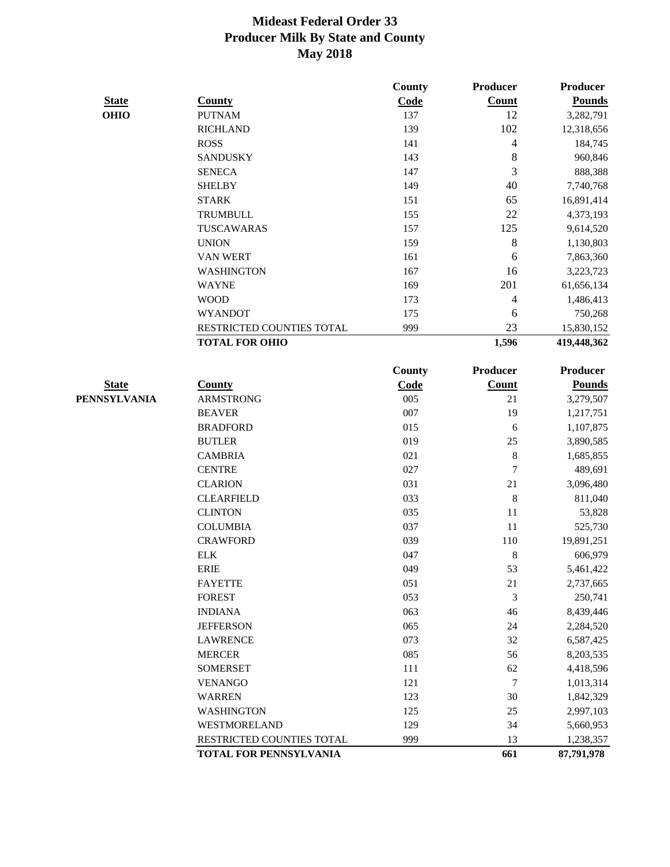|              |                           | <b>County</b> | <b>Producer</b> | Producer        |
|--------------|---------------------------|---------------|-----------------|-----------------|
| <b>State</b> | <b>County</b>             | Code          | Count           | <b>Pounds</b>   |
| <b>OHIO</b>  | <b>PUTNAM</b>             | 137           | 12              | 3,282,791       |
|              | <b>RICHLAND</b>           | 139           | 102             | 12,318,656      |
|              | <b>ROSS</b>               | 141           | 4               | 184,745         |
|              | <b>SANDUSKY</b>           | 143           | $\,8\,$         | 960,846         |
|              | <b>SENECA</b>             | 147           | 3               | 888,388         |
|              | <b>SHELBY</b>             | 149           | 40              | 7,740,768       |
|              | <b>STARK</b>              | 151           | 65              | 16,891,414      |
|              | <b>TRUMBULL</b>           | 155           | 22              | 4,373,193       |
|              | TUSCAWARAS                | 157           | 125             | 9,614,520       |
|              | <b>UNION</b>              | 159           | $\,8\,$         | 1,130,803       |
|              | <b>VAN WERT</b>           | 161           | 6               | 7,863,360       |
|              | <b>WASHINGTON</b>         | 167           | 16              | 3,223,723       |
|              | <b>WAYNE</b>              | 169           | 201             | 61,656,134      |
|              | <b>WOOD</b>               | 173           | 4               | 1,486,413       |
|              | <b>WYANDOT</b>            | 175           | 6               | 750,268         |
|              | RESTRICTED COUNTIES TOTAL | 999           | 23              | 15,830,152      |
|              | <b>TOTAL FOR OHIO</b>     |               | 1,596           | 419,448,362     |
|              |                           |               |                 |                 |
|              |                           | County        | Producer        | <b>Producer</b> |
| <b>State</b> | <b>County</b>             | Code          | <b>Count</b>    | <b>Pounds</b>   |
| PENNSYLVANIA | <b>ARMSTRONG</b>          | 005           | 21              | 3,279,507       |
|              | <b>BEAVER</b>             | 007           | 19              | 1,217,751       |
|              | <b>BRADFORD</b>           | 015           | 6               | 1,107,875       |
|              | <b>BUTLER</b>             | 019           | 25              | 3,890,585       |
|              | <b>CAMBRIA</b>            | 021           | $\,8\,$         | 1,685,855       |
|              | <b>CENTRE</b>             | 027           | $\tau$          | 489,691         |
|              | <b>CLARION</b>            | 031           | 21              | 3,096,480       |
|              | <b>CLEARFIELD</b>         | 033           | $\,8\,$         | 811,040         |
|              | <b>CLINTON</b>            | 035           | 11              | 53,828          |
|              | <b>COLUMBIA</b>           | 037           | 11              | 525,730         |
|              | <b>CRAWFORD</b>           | 039           | 110             | 19,891,251      |
|              | <b>ELK</b>                | 047           | 8               | 606,979         |
|              | ERIE                      | 049           | 53              | 5,461,422       |
|              | FAYETTE                   | 051           | 21              | 2,737,665       |
|              | <b>FOREST</b>             | 053           | $\mathfrak{Z}$  | 250,741         |
|              | <b>INDIANA</b>            | 063           | 46              | 8,439,446       |
|              | <b>JEFFERSON</b>          | 065           | 24              | 2,284,520       |
|              | <b>LAWRENCE</b>           | 073           | 32              | 6,587,425       |
|              | <b>MERCER</b>             | 085           | 56              | 8,203,535       |
|              | <b>SOMERSET</b>           | 111           | 62              | 4,418,596       |
|              | <b>VENANGO</b>            | 121           | $\tau$          | 1,013,314       |
|              | <b>WARREN</b>             | 123           | 30              | 1,842,329       |
|              | <b>WASHINGTON</b>         | 125           | 25              | 2,997,103       |
|              | WESTMORELAND              | 129           | 34              | 5,660,953       |
|              | RESTRICTED COUNTIES TOTAL | 999           | 13              | 1,238,357       |
|              | TOTAL FOR PENNSYLVANIA    |               | 661             | 87,791,978      |